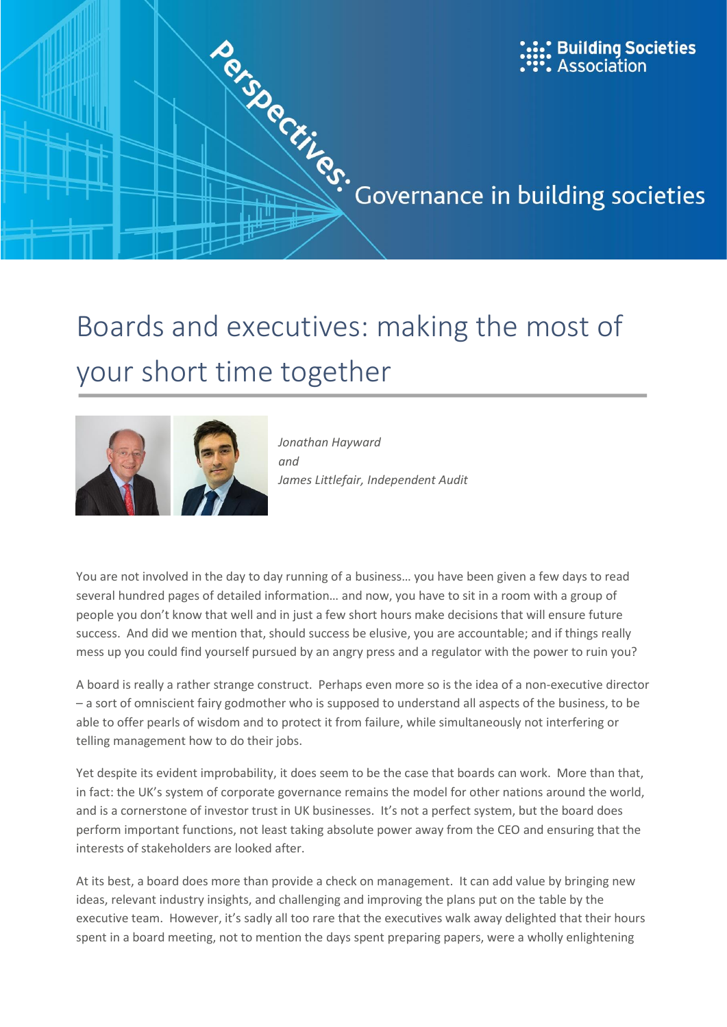

# your short time together



*Jonathan Hayward and James Littlefair, Independent Audit*

You are not involved in the day to day running of a business… you have been given a few days to read several hundred pages of detailed information… and now, you have to sit in a room with a group of people you don't know that well and in just a few short hours make decisions that will ensure future success. And did we mention that, should success be elusive, you are accountable; and if things really mess up you could find yourself pursued by an angry press and a regulator with the power to ruin you?

A board is really a rather strange construct. Perhaps even more so is the idea of a non-executive director – a sort of omniscient fairy godmother who is supposed to understand all aspects of the business, to be able to offer pearls of wisdom and to protect it from failure, while simultaneously not interfering or telling management how to do their jobs.

Yet despite its evident improbability, it does seem to be the case that boards can work. More than that, in fact: the UK's system of corporate governance remains the model for other nations around the world, and is a cornerstone of investor trust in UK businesses. It's not a perfect system, but the board does perform important functions, not least taking absolute power away from the CEO and ensuring that the interests of stakeholders are looked after.

At its best, a board does more than provide a check on management. It can add value by bringing new ideas, relevant industry insights, and challenging and improving the plans put on the table by the executive team. However, it's sadly all too rare that the executives walk away delighted that their hours spent in a board meeting, not to mention the days spent preparing papers, were a wholly enlightening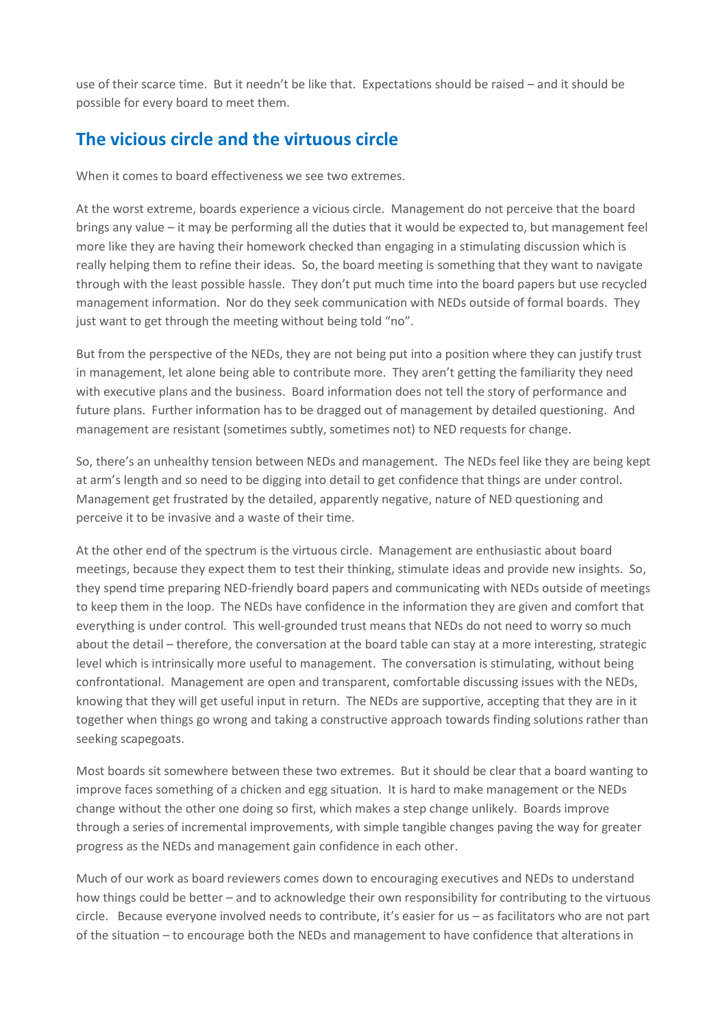use of their scarce time. But it needn't be like that. Expectations should be raised – and it should be possible for every board to meet them.

## **The vicious circle and the virtuous circle**

When it comes to board effectiveness we see two extremes.

At the worst extreme, boards experience a vicious circle. Management do not perceive that the board brings any value – it may be performing all the duties that it would be expected to, but management feel more like they are having their homework checked than engaging in a stimulating discussion which is really helping them to refine their ideas. So, the board meeting is something that they want to navigate through with the least possible hassle. They don't put much time into the board papers but use recycled management information. Nor do they seek communication with NEDs outside of formal boards. They just want to get through the meeting without being told "no".

But from the perspective of the NEDs, they are not being put into a position where they can justify trust in management, let alone being able to contribute more. They aren't getting the familiarity they need with executive plans and the business. Board information does not tell the story of performance and future plans. Further information has to be dragged out of management by detailed questioning. And management are resistant (sometimes subtly, sometimes not) to NED requests for change.

So, there's an unhealthy tension between NEDs and management. The NEDs feel like they are being kept at arm's length and so need to be digging into detail to get confidence that things are under control. Management get frustrated by the detailed, apparently negative, nature of NED questioning and perceive it to be invasive and a waste of their time.

At the other end of the spectrum is the virtuous circle. Management are enthusiastic about board meetings, because they expect them to test their thinking, stimulate ideas and provide new insights. So, they spend time preparing NED-friendly board papers and communicating with NEDs outside of meetings to keep them in the loop. The NEDs have confidence in the information they are given and comfort that everything is under control. This well-grounded trust means that NEDs do not need to worry so much about the detail – therefore, the conversation at the board table can stay at a more interesting, strategic level which is intrinsically more useful to management. The conversation is stimulating, without being confrontational. Management are open and transparent, comfortable discussing issues with the NEDs, knowing that they will get useful input in return. The NEDs are supportive, accepting that they are in it together when things go wrong and taking a constructive approach towards finding solutions rather than seeking scapegoats.

Most boards sit somewhere between these two extremes. But it should be clear that a board wanting to improve faces something of a chicken and egg situation. It is hard to make management or the NEDs change without the other one doing so first, which makes a step change unlikely. Boards improve through a series of incremental improvements, with simple tangible changes paving the way for greater progress as the NEDs and management gain confidence in each other.

Much of our work as board reviewers comes down to encouraging executives and NEDs to understand how things could be better – and to acknowledge their own responsibility for contributing to the virtuous circle. Because everyone involved needs to contribute, it's easier for us – as facilitators who are not part of the situation – to encourage both the NEDs and management to have confidence that alterations in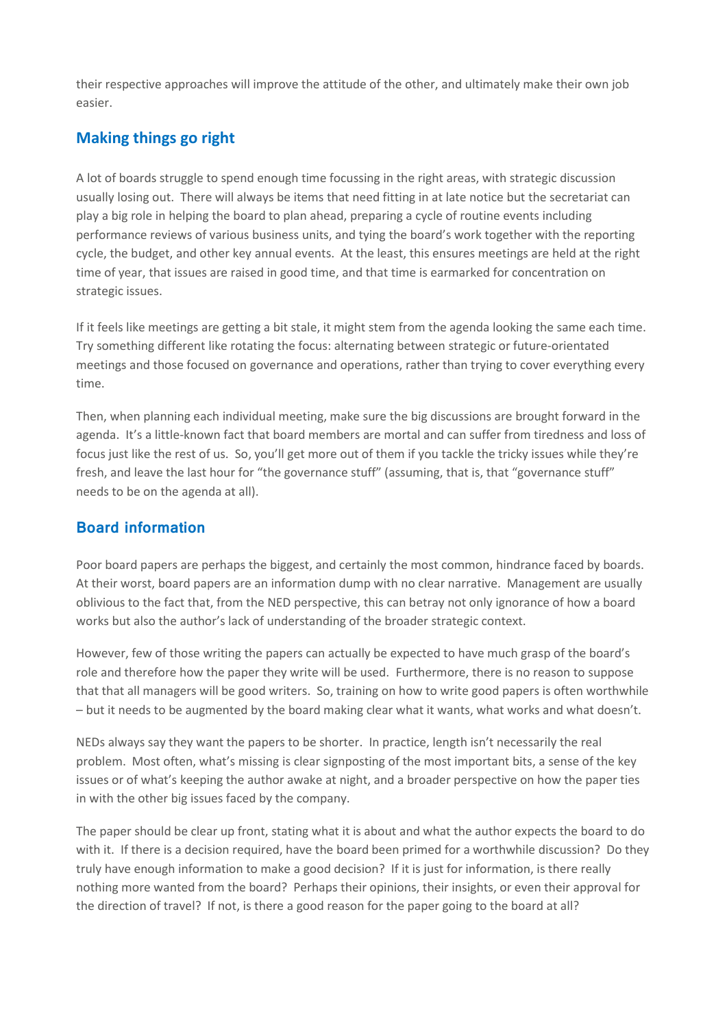their respective approaches will improve the attitude of the other, and ultimately make their own job easier.

### **Making things go right**

A lot of boards struggle to spend enough time focussing in the right areas, with strategic discussion usually losing out. There will always be items that need fitting in at late notice but the secretariat can play a big role in helping the board to plan ahead, preparing a cycle of routine events including performance reviews of various business units, and tying the board's work together with the reporting cycle, the budget, and other key annual events. At the least, this ensures meetings are held at the right time of year, that issues are raised in good time, and that time is earmarked for concentration on strategic issues.

If it feels like meetings are getting a bit stale, it might stem from the agenda looking the same each time. Try something different like rotating the focus: alternating between strategic or future-orientated meetings and those focused on governance and operations, rather than trying to cover everything every time.

Then, when planning each individual meeting, make sure the big discussions are brought forward in the agenda. It's a little-known fact that board members are mortal and can suffer from tiredness and loss of focus just like the rest of us. So, you'll get more out of them if you tackle the tricky issues while they're fresh, and leave the last hour for "the governance stuff" (assuming, that is, that "governance stuff" needs to be on the agenda at all).

#### **Board information**

Poor board papers are perhaps the biggest, and certainly the most common, hindrance faced by boards. At their worst, board papers are an information dump with no clear narrative. Management are usually oblivious to the fact that, from the NED perspective, this can betray not only ignorance of how a board works but also the author's lack of understanding of the broader strategic context.

However, few of those writing the papers can actually be expected to have much grasp of the board's role and therefore how the paper they write will be used. Furthermore, there is no reason to suppose that that all managers will be good writers. So, training on how to write good papers is often worthwhile – but it needs to be augmented by the board making clear what it wants, what works and what doesn't.

NEDs always say they want the papers to be shorter. In practice, length isn't necessarily the real problem. Most often, what's missing is clear signposting of the most important bits, a sense of the key issues or of what's keeping the author awake at night, and a broader perspective on how the paper ties in with the other big issues faced by the company.

The paper should be clear up front, stating what it is about and what the author expects the board to do with it. If there is a decision required, have the board been primed for a worthwhile discussion? Do they truly have enough information to make a good decision? If it is just for information, is there really nothing more wanted from the board? Perhaps their opinions, their insights, or even their approval for the direction of travel? If not, is there a good reason for the paper going to the board at all?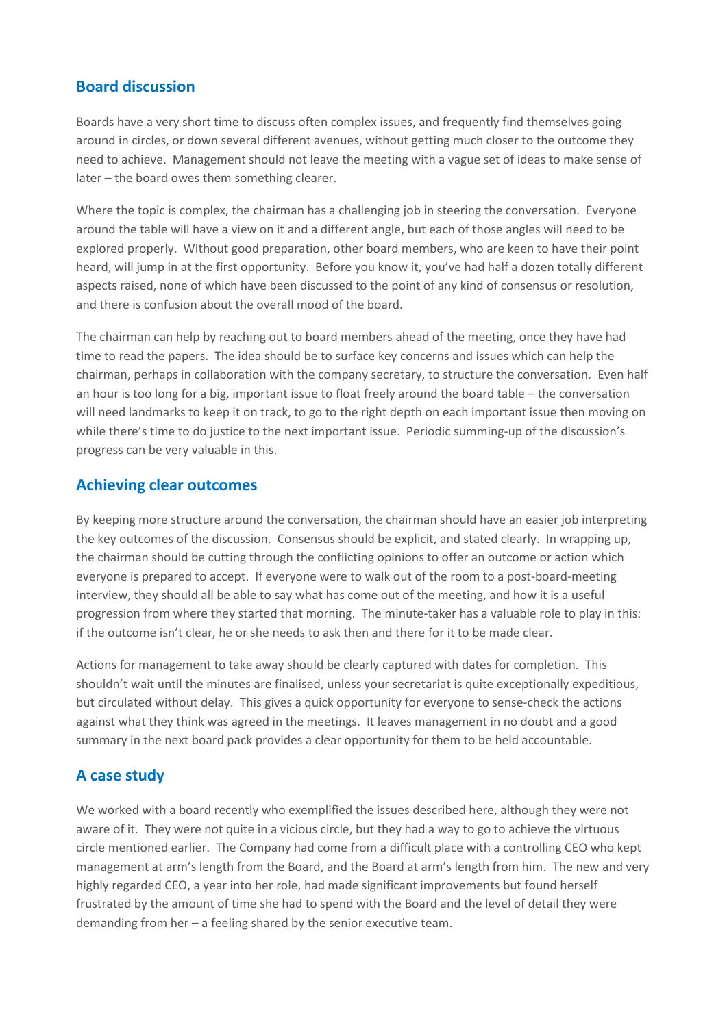#### **Board discussion**

Boards have a very short time to discuss often complex issues, and frequently find themselves going around in circles, or down several different avenues, without getting much closer to the outcome they need to achieve. Management should not leave the meeting with a vague set of ideas to make sense of later – the board owes them something clearer.

Where the topic is complex, the chairman has a challenging job in steering the conversation. Everyone around the table will have a view on it and a different angle, but each of those angles will need to be explored properly. Without good preparation, other board members, who are keen to have their point heard, will jump in at the first opportunity. Before you know it, you've had half a dozen totally different aspects raised, none of which have been discussed to the point of any kind of consensus or resolution, and there is confusion about the overall mood of the board.

The chairman can help by reaching out to board members ahead of the meeting, once they have had time to read the papers. The idea should be to surface key concerns and issues which can help the chairman, perhaps in collaboration with the company secretary, to structure the conversation. Even half an hour is too long for a big, important issue to float freely around the board table – the conversation will need landmarks to keep it on track, to go to the right depth on each important issue then moving on while there's time to do justice to the next important issue. Periodic summing-up of the discussion's progress can be very valuable in this.

#### **Achieving clear outcomes**

By keeping more structure around the conversation, the chairman should have an easier job interpreting the key outcomes of the discussion. Consensus should be explicit, and stated clearly. In wrapping up, the chairman should be cutting through the conflicting opinions to offer an outcome or action which everyone is prepared to accept. If everyone were to walk out of the room to a post-board-meeting interview, they should all be able to say what has come out of the meeting, and how it is a useful progression from where they started that morning. The minute-taker has a valuable role to play in this: if the outcome isn't clear, he or she needs to ask then and there for it to be made clear.

Actions for management to take away should be clearly captured with dates for completion. This shouldn't wait until the minutes are finalised, unless your secretariat is quite exceptionally expeditious, but circulated without delay. This gives a quick opportunity for everyone to sense-check the actions against what they think was agreed in the meetings. It leaves management in no doubt and a good summary in the next board pack provides a clear opportunity for them to be held accountable.

#### **A case study**

We worked with a board recently who exemplified the issues described here, although they were not aware of it. They were not quite in a vicious circle, but they had a way to go to achieve the virtuous circle mentioned earlier. The Company had come from a difficult place with a controlling CEO who kept management at arm's length from the Board, and the Board at arm's length from him. The new and very highly regarded CEO, a year into her role, had made significant improvements but found herself frustrated by the amount of time she had to spend with the Board and the level of detail they were demanding from her – a feeling shared by the senior executive team.